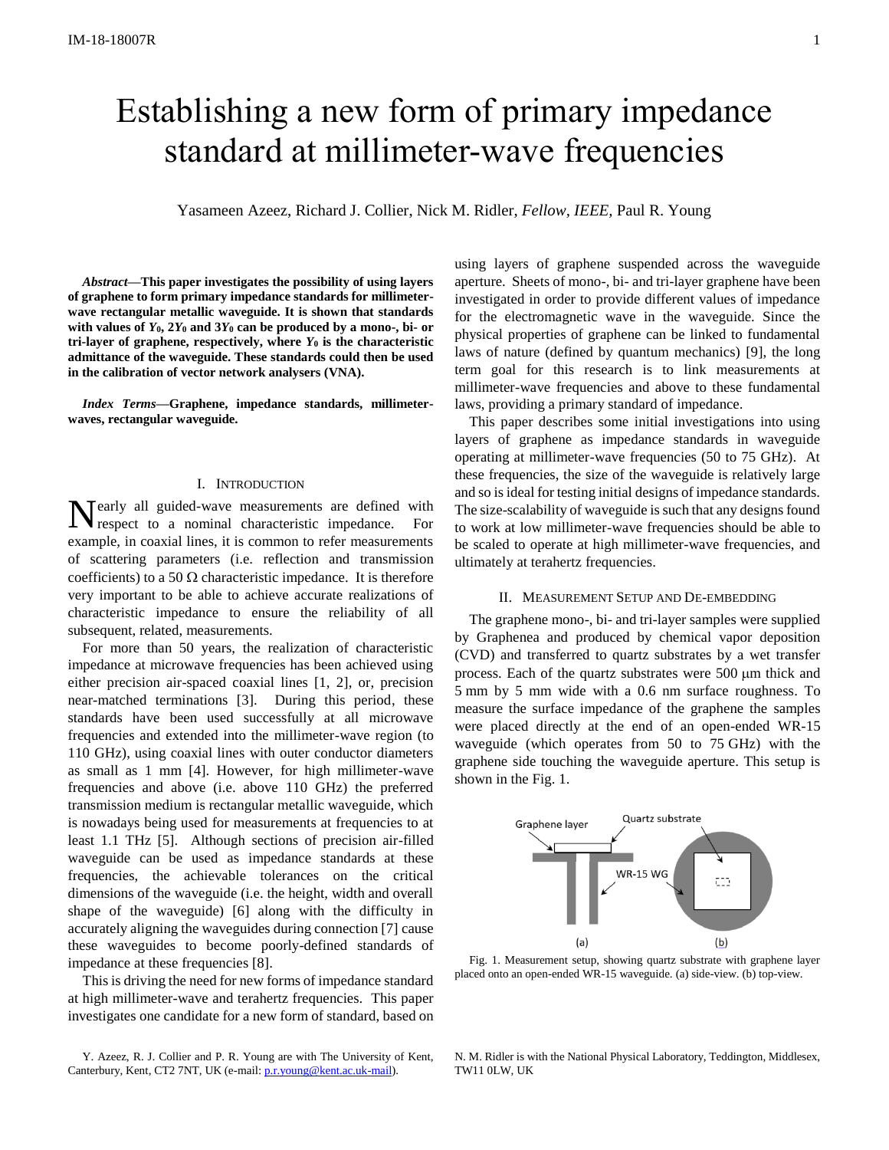# Establishing a new form of primary impedance standard at millimeter-wave frequencies

Yasameen Azeez, Richard J. Collier, Nick M. Ridler, *Fellow, IEEE,* Paul R. Young

*Abstract***—This paper investigates the possibility of using layers of graphene to form primary impedance standards for millimeterwave rectangular metallic waveguide. It is shown that standards**  with values of  $Y_0$ ,  $2Y_0$  and  $3Y_0$  can be produced by a mono-, bi- or tri-layer of graphene, respectively, where  $Y_0$  is the characteristic **admittance of the waveguide. These standards could then be used in the calibration of vector network analysers (VNA).**

*Index Terms***—Graphene, impedance standards, millimeterwaves, rectangular waveguide.** 

## I. INTRODUCTION

Tearly all guided-wave measurements are defined with Nearly all guided-wave measurements are defined with respect to a nominal characteristic impedance. For example, in coaxial lines, it is common to refer measurements of scattering parameters (i.e. reflection and transmission coefficients) to a 50  $\Omega$  characteristic impedance. It is therefore very important to be able to achieve accurate realizations of characteristic impedance to ensure the reliability of all subsequent, related, measurements.

For more than 50 years, the realization of characteristic impedance at microwave frequencies has been achieved using either precision air-spaced coaxial lines [1, 2], or, precision near-matched terminations [3]. During this period, these standards have been used successfully at all microwave frequencies and extended into the millimeter-wave region (to 110 GHz), using coaxial lines with outer conductor diameters as small as 1 mm [4]. However, for high millimeter-wave frequencies and above (i.e. above 110 GHz) the preferred transmission medium is rectangular metallic waveguide, which is nowadays being used for measurements at frequencies to at least 1.1 THz [5]. Although sections of precision air-filled waveguide can be used as impedance standards at these frequencies, the achievable tolerances on the critical dimensions of the waveguide (i.e. the height, width and overall shape of the waveguide) [6] along with the difficulty in accurately aligning the waveguides during connection [7] cause these waveguides to become poorly-defined standards of impedance at these frequencies [8].

This is driving the need for new forms of impedance standard at high millimeter-wave and terahertz frequencies. This paper investigates one candidate for a new form of standard, based on

Y. Azeez, R. J. Collier and P. R. Young are with The University of Kent, Canterbury, Kent, CT2 7NT, UK (e-mail[: p.r.young@kent.ac.uk-mail\)](mailto:p.r.young@kent.ac.uk-mail).

using layers of graphene suspended across the waveguide aperture. Sheets of mono-, bi- and tri-layer graphene have been investigated in order to provide different values of impedance for the electromagnetic wave in the waveguide. Since the physical properties of graphene can be linked to fundamental laws of nature (defined by quantum mechanics) [9], the long term goal for this research is to link measurements at millimeter-wave frequencies and above to these fundamental laws, providing a primary standard of impedance.

This paper describes some initial investigations into using layers of graphene as impedance standards in waveguide operating at millimeter-wave frequencies (50 to 75 GHz). At these frequencies, the size of the waveguide is relatively large and so is ideal for testing initial designs of impedance standards. The size-scalability of waveguide is such that any designs found to work at low millimeter-wave frequencies should be able to be scaled to operate at high millimeter-wave frequencies, and ultimately at terahertz frequencies.

## II. MEASUREMENT SETUP AND DE-EMBEDDING

The graphene mono-, bi- and tri-layer samples were supplied by Graphenea and produced by chemical vapor deposition (CVD) and transferred to quartz substrates by a wet transfer process. Each of the quartz substrates were  $500 \mu m$  thick and 5 mm by 5 mm wide with a 0.6 nm surface roughness. To measure the surface impedance of the graphene the samples were placed directly at the end of an open-ended WR-15 waveguide (which operates from 50 to 75 GHz) with the graphene side touching the waveguide aperture. This setup is shown in the Fig. 1.



Fig. 1. Measurement setup, showing quartz substrate with graphene layer placed onto an open-ended WR-15 waveguide. (a) side-view. (b) top-view.

N. M. Ridler is with the National Physical Laboratory, Teddington, Middlesex, TW11 0LW, UK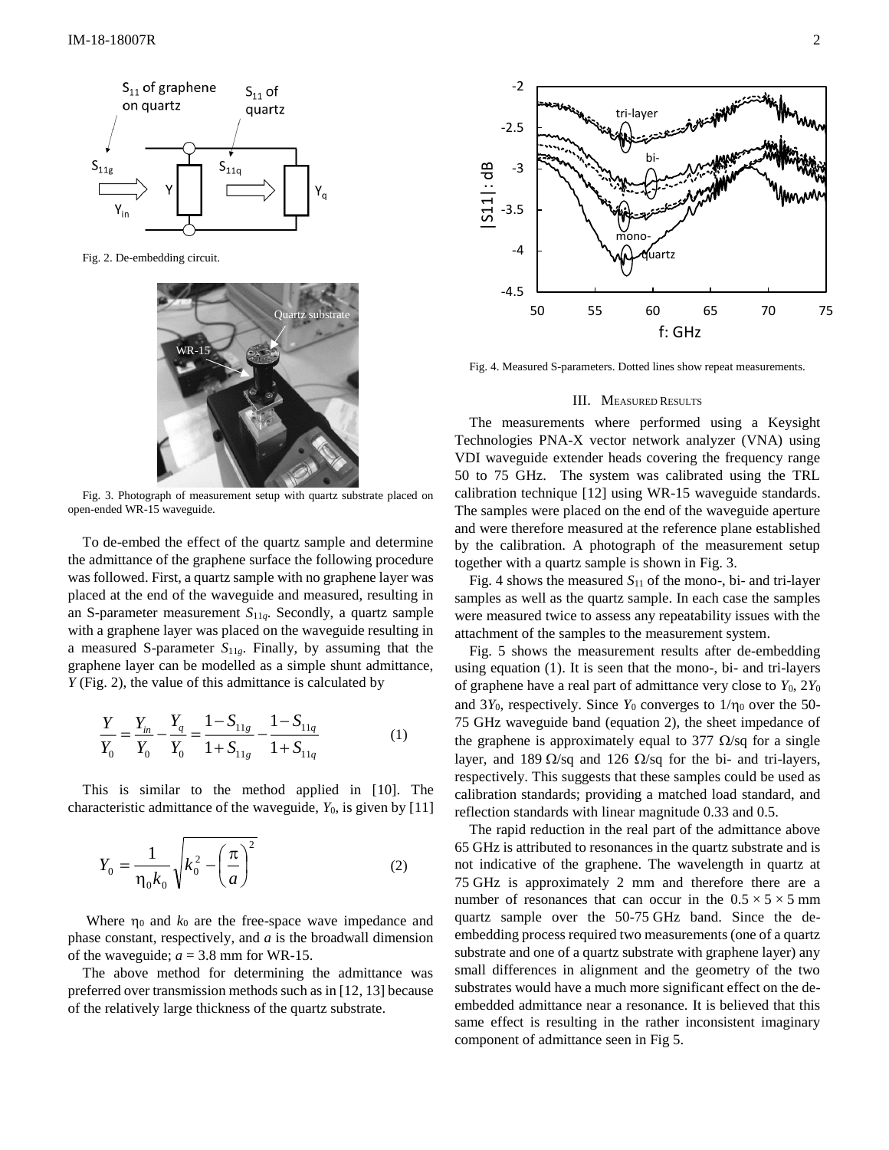

Fig. 2. De-embedding circuit.



Fig. 3. Photograph of measurement setup with quartz substrate placed on open-ended WR-15 waveguide.

To de-embed the effect of the quartz sample and determine the admittance of the graphene surface the following procedure was followed. First, a quartz sample with no graphene layer was placed at the end of the waveguide and measured, resulting in an S-parameter measurement *S*11*q*. Secondly, a quartz sample with a graphene layer was placed on the waveguide resulting in a measured S-parameter *S*11*g*. Finally, by assuming that the graphene layer can be modelled as a simple shunt admittance, *Y* (Fig. 2), the value of this admittance is calculated by

$$
\frac{Y}{Y_0} = \frac{Y_{in}}{Y_0} - \frac{Y_q}{Y_0} = \frac{1 - S_{11g}}{1 + S_{11g}} - \frac{1 - S_{11q}}{1 + S_{11q}}
$$
(1)

This is similar to the method applied in [10]. The characteristic admittance of the waveguide, *Y*0, is given by [11]

$$
Y_0 = \frac{1}{\eta_0 k_0} \sqrt{k_0^2 - \left(\frac{\pi}{a}\right)^2}
$$
 (2)

Where  $\eta_0$  and  $k_0$  are the free-space wave impedance and phase constant, respectively, and *a* is the broadwall dimension of the waveguide;  $a = 3.8$  mm for WR-15.

The above method for determining the admittance was preferred over transmission methods such as in [12, 13] because of the relatively large thickness of the quartz substrate.



Fig. 4. Measured S-parameters. Dotted lines show repeat measurements.

#### III. MEASURED RESULTS

The measurements where performed using a Keysight Technologies PNA-X vector network analyzer (VNA) using VDI waveguide extender heads covering the frequency range 50 to 75 GHz. The system was calibrated using the TRL calibration technique [12] using WR-15 waveguide standards. The samples were placed on the end of the waveguide aperture and were therefore measured at the reference plane established by the calibration. A photograph of the measurement setup together with a quartz sample is shown in Fig. 3.

Fig. 4 shows the measured  $S<sub>11</sub>$  of the mono-, bi- and tri-layer samples as well as the quartz sample. In each case the samples were measured twice to assess any repeatability issues with the attachment of the samples to the measurement system.

Fig. 5 shows the measurement results after de-embedding using equation (1). It is seen that the mono-, bi- and tri-layers of graphene have a real part of admittance very close to  $Y_0$ ,  $2Y_0$ and  $3Y_0$ , respectively. Since  $Y_0$  converges to  $1/\eta_0$  over the 50-75 GHz waveguide band (equation 2), the sheet impedance of the graphene is approximately equal to 377  $\Omega$ /sq for a single layer, and 189  $\Omega$ /sq and 126  $\Omega$ /sq for the bi- and tri-layers, respectively. This suggests that these samples could be used as calibration standards; providing a matched load standard, and reflection standards with linear magnitude 0.33 and 0.5.

The rapid reduction in the real part of the admittance above 65 GHz is attributed to resonances in the quartz substrate and is not indicative of the graphene. The wavelength in quartz at 75 GHz is approximately 2 mm and therefore there are a number of resonances that can occur in the  $0.5 \times 5 \times 5$  mm quartz sample over the 50-75 GHz band. Since the deembedding process required two measurements (one of a quartz substrate and one of a quartz substrate with graphene layer) any small differences in alignment and the geometry of the two substrates would have a much more significant effect on the deembedded admittance near a resonance. It is believed that this same effect is resulting in the rather inconsistent imaginary component of admittance seen in Fig 5.